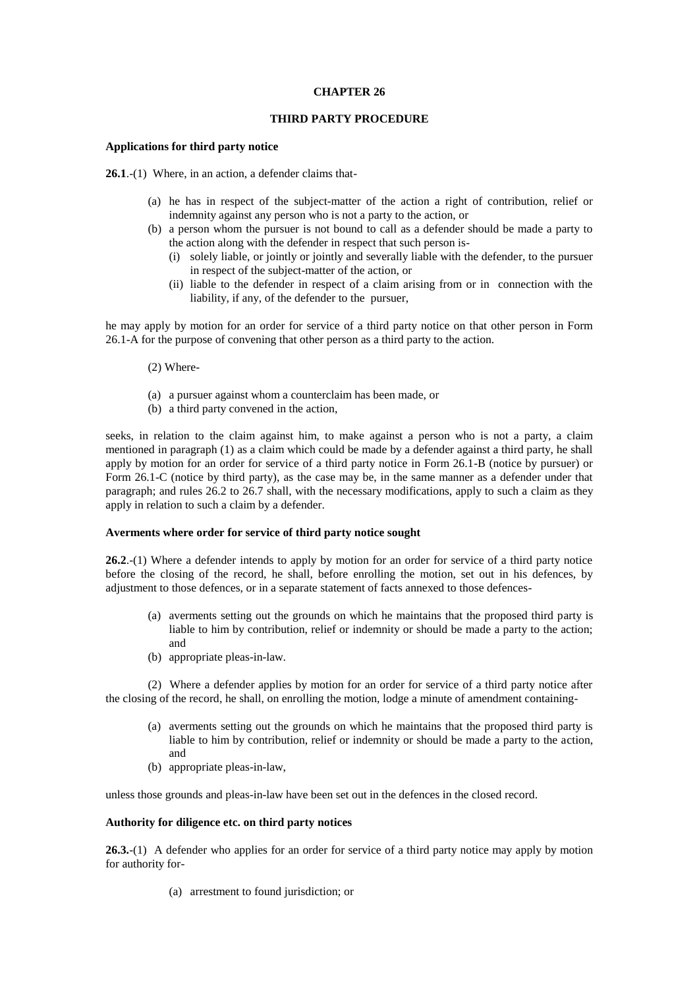## **CHAPTER 26**

# **THIRD PARTY PROCEDURE**

### **Applications for third party notice**

**26.1**.-(1) Where, in an action, a defender claims that-

- (a) he has in respect of the subject-matter of the action a right of contribution, relief or indemnity against any person who is not a party to the action, or
- (b) a person whom the pursuer is not bound to call as a defender should be made a party to the action along with the defender in respect that such person is-
	- (i) solely liable, or jointly or jointly and severally liable with the defender, to the pursuer in respect of the subject-matter of the action, or
	- (ii) liable to the defender in respect of a claim arising from or in connection with the liability, if any, of the defender to the pursuer,

he may apply by motion for an order for service of a third party notice on that other person in Form 26.1-A for the purpose of convening that other person as a third party to the action.

- (2) Where-
- (a) a pursuer against whom a counterclaim has been made, or
- (b) a third party convened in the action,

seeks, in relation to the claim against him, to make against a person who is not a party, a claim mentioned in paragraph (1) as a claim which could be made by a defender against a third party, he shall apply by motion for an order for service of a third party notice in Form 26.1-B (notice by pursuer) or Form 26.1-C (notice by third party), as the case may be, in the same manner as a defender under that paragraph; and rules 26.2 to 26.7 shall, with the necessary modifications, apply to such a claim as they apply in relation to such a claim by a defender.

## **Averments where order for service of third party notice sought**

**26.2**.-(1) Where a defender intends to apply by motion for an order for service of a third party notice before the closing of the record, he shall, before enrolling the motion, set out in his defences, by adjustment to those defences, or in a separate statement of facts annexed to those defences-

- (a) averments setting out the grounds on which he maintains that the proposed third party is liable to him by contribution, relief or indemnity or should be made a party to the action; and
- (b) appropriate pleas-in-law.

(2) Where a defender applies by motion for an order for service of a third party notice after the closing of the record, he shall, on enrolling the motion, lodge a minute of amendment containing-

- (a) averments setting out the grounds on which he maintains that the proposed third party is liable to him by contribution, relief or indemnity or should be made a party to the action, and
- (b) appropriate pleas-in-law,

unless those grounds and pleas-in-law have been set out in the defences in the closed record.

#### **Authority for diligence etc. on third party notices**

**26.3.**-(1) A defender who applies for an order for service of a third party notice may apply by motion for authority for-

(a) arrestment to found jurisdiction; or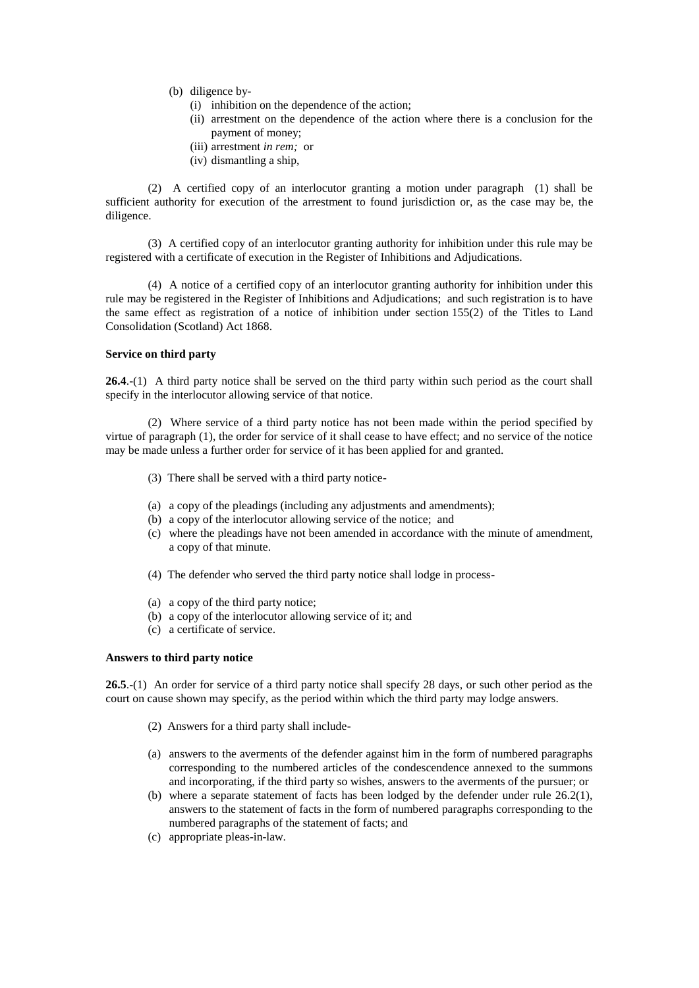- (b) diligence by-
	- (i) inhibition on the dependence of the action;
	- (ii) arrestment on the dependence of the action where there is a conclusion for the payment of money;
	- (iii) arrestment *in rem;* or
	- (iv) dismantling a ship,

(2) A certified copy of an interlocutor granting a motion under paragraph (1) shall be sufficient authority for execution of the arrestment to found jurisdiction or, as the case may be, the diligence.

(3) A certified copy of an interlocutor granting authority for inhibition under this rule may be registered with a certificate of execution in the Register of Inhibitions and Adjudications.

(4) A notice of a certified copy of an interlocutor granting authority for inhibition under this rule may be registered in the Register of Inhibitions and Adjudications; and such registration is to have the same effect as registration of a notice of inhibition under section 155(2) of the Titles to Land Consolidation (Scotland) Act 1868.

### **Service on third party**

26.4.-(1) A third party notice shall be served on the third party within such period as the court shall specify in the interlocutor allowing service of that notice.

(2) Where service of a third party notice has not been made within the period specified by virtue of paragraph (1), the order for service of it shall cease to have effect; and no service of the notice may be made unless a further order for service of it has been applied for and granted.

- (3) There shall be served with a third party notice-
- (a) a copy of the pleadings (including any adjustments and amendments);
- (b) a copy of the interlocutor allowing service of the notice; and
- (c) where the pleadings have not been amended in accordance with the minute of amendment, a copy of that minute.
- (4) The defender who served the third party notice shall lodge in process-
- (a) a copy of the third party notice;
- (b) a copy of the interlocutor allowing service of it; and
- (c) a certificate of service.

#### **Answers to third party notice**

**26.5**.-(1) An order for service of a third party notice shall specify 28 days, or such other period as the court on cause shown may specify, as the period within which the third party may lodge answers.

- (2) Answers for a third party shall include-
- (a) answers to the averments of the defender against him in the form of numbered paragraphs corresponding to the numbered articles of the condescendence annexed to the summons and incorporating, if the third party so wishes, answers to the averments of the pursuer; or
- (b) where a separate statement of facts has been lodged by the defender under rule 26.2(1), answers to the statement of facts in the form of numbered paragraphs corresponding to the numbered paragraphs of the statement of facts; and
- (c) appropriate pleas-in-law.